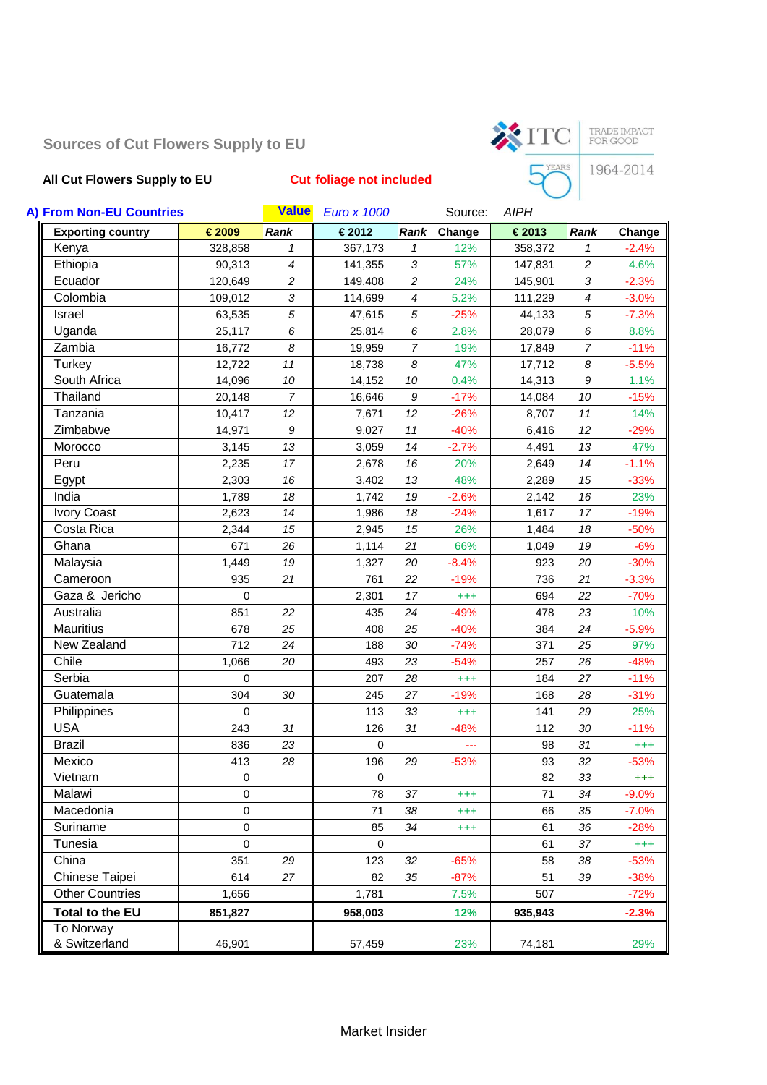**Sources of Cut Flowers Supply to EU**



## **All Cut Flowers Supply to EU Cut foliage not included**

| A) From Non-EU Countries   |             | <b>Value</b>   | <b>Euro x 1000</b> |                  | Source:  | <b>AIPH</b> |                |          |
|----------------------------|-------------|----------------|--------------------|------------------|----------|-------------|----------------|----------|
| <b>Exporting country</b>   | €2009       | Rank           | €2012              | Rank             | Change   | €2013       | Rank           | Change   |
| Kenya                      | 328,858     | $\mathcal I$   | 367,173            | $\mathcal I$     | 12%      | 358,372     | $\mathcal I$   | $-2.4%$  |
| Ethiopia                   | 90,313      | 4              | 141,355            | $\sqrt{3}$       | 57%      | 147,831     | $\overline{c}$ | 4.6%     |
| Ecuador                    | 120,649     | $\overline{c}$ | 149,408            | $\overline{c}$   | 24%      | 145,901     | 3              | $-2.3%$  |
| Colombia                   | 109,012     | 3              | 114,699            | $\boldsymbol{4}$ | 5.2%     | 111,229     | 4              | $-3.0%$  |
| Israel                     | 63,535      | $\sqrt{5}$     | 47,615             | 5                | $-25%$   | 44,133      | 5              | $-7.3%$  |
| Uganda                     | 25,117      | 6              | 25,814             | 6                | 2.8%     | 28,079      | 6              | 8.8%     |
| Zambia                     | 16,772      | 8              | 19,959             | $\overline{7}$   | 19%      | 17,849      | $\overline{7}$ | $-11%$   |
| Turkey                     | 12,722      | 11             | 18,738             | 8                | 47%      | 17,712      | 8              | $-5.5%$  |
| South Africa               | 14,096      | $10\,$         | 14,152             | 10               | 0.4%     | 14,313      | 9              | 1.1%     |
| Thailand                   | 20,148      | $\overline{7}$ | 16,646             | 9                | $-17%$   | 14,084      | 10             | $-15%$   |
| Tanzania                   | 10,417      | 12             | 7,671              | 12               | $-26%$   | 8,707       | 11             | 14%      |
| Zimbabwe                   | 14,971      | 9              | 9,027              | 11               | $-40%$   | 6,416       | 12             | $-29%$   |
| Morocco                    | 3,145       | 13             | 3,059              | 14               | $-2.7%$  | 4,491       | 13             | 47%      |
| Peru                       | 2,235       | 17             | 2,678              | 16               | 20%      | 2,649       | 14             | $-1.1%$  |
| Egypt                      | 2,303       | 16             | 3,402              | 13               | 48%      | 2,289       | 15             | $-33%$   |
| India                      | 1,789       | 18             | 1,742              | 19               | $-2.6%$  | 2,142       | 16             | 23%      |
| <b>Ivory Coast</b>         | 2,623       | 14             | 1,986              | 18               | $-24%$   | 1,617       | 17             | $-19%$   |
| Costa Rica                 | 2,344       | 15             | 2,945              | 15               | 26%      | 1,484       | 18             | $-50%$   |
| Ghana                      | 671         | 26             | 1,114              | 21               | 66%      | 1,049       | 19             | $-6%$    |
| Malaysia                   | 1,449       | 19             | 1,327              | 20               | $-8.4%$  | 923         | 20             | $-30%$   |
| Cameroon                   | 935         | 21             | 761                | 22               | $-19%$   | 736         | 21             | $-3.3%$  |
| Gaza & Jericho             | 0           |                | 2,301              | 17               | $^{+++}$ | 694         | 22             | $-70%$   |
| Australia                  | 851         | 22             | 435                | 24               | $-49%$   | 478         | 23             | 10%      |
| <b>Mauritius</b>           | 678         | 25             | 408                | 25               | $-40%$   | 384         | 24             | $-5.9%$  |
| New Zealand                | 712         | 24             | 188                | 30               | $-74%$   | 371         | 25             | 97%      |
| Chile                      | 1,066       | 20             | 493                | 23               | $-54%$   | 257         | 26             | $-48%$   |
| Serbia                     | 0           |                | 207                | 28               | $^{+++}$ | 184         | 27             | $-11%$   |
| Guatemala                  | 304         | 30             | 245                | 27               | $-19%$   | 168         | 28             | $-31%$   |
| Philippines                | 0           |                | 113                | 33               | $^{+++}$ | 141         | 29             | 25%      |
| <b>USA</b>                 | 243         | 31             | 126                | 31               | $-48%$   | 112         | 30             | $-11%$   |
| <b>Brazil</b>              | 836         | 23             | 0                  |                  | 444      | 98          | 31             | $^{+++}$ |
| Mexico                     | 413         | 28             | 196                | 29               | $-53%$   | 93          | 32             | $-53%$   |
| Vietnam                    | 0           |                | 0                  |                  |          | 82          | 33             | $^{+++}$ |
| Malawi                     | 0           |                | 78                 | 37               | $^{+++}$ | 71          | 34             | $-9.0%$  |
| Macedonia                  | $\mathbf 0$ |                | 71                 | 38               | $^{+++}$ | 66          | 35             | $-7.0%$  |
| Suriname                   | $\pmb{0}$   |                | 85                 | 34               | $^{+++}$ | 61          | 36             | $-28%$   |
| Tunesia                    | 0           |                | 0                  |                  |          | 61          | 37             | $^{+++}$ |
| China                      | 351         | 29             | 123                | 32               | $-65%$   | 58          | 38             | $-53%$   |
| Chinese Taipei             | 614         | 27             | 82                 | 35               | $-87%$   | 51          | 39             | $-38%$   |
| <b>Other Countries</b>     | 1,656       |                | 1,781              |                  | 7.5%     | 507         |                | $-72%$   |
| <b>Total to the EU</b>     | 851,827     |                | 958,003            |                  | 12%      | 935,943     |                | $-2.3%$  |
| To Norway<br>& Switzerland | 46,901      |                | 57,459             |                  | 23%      | 74,181      |                | 29%      |